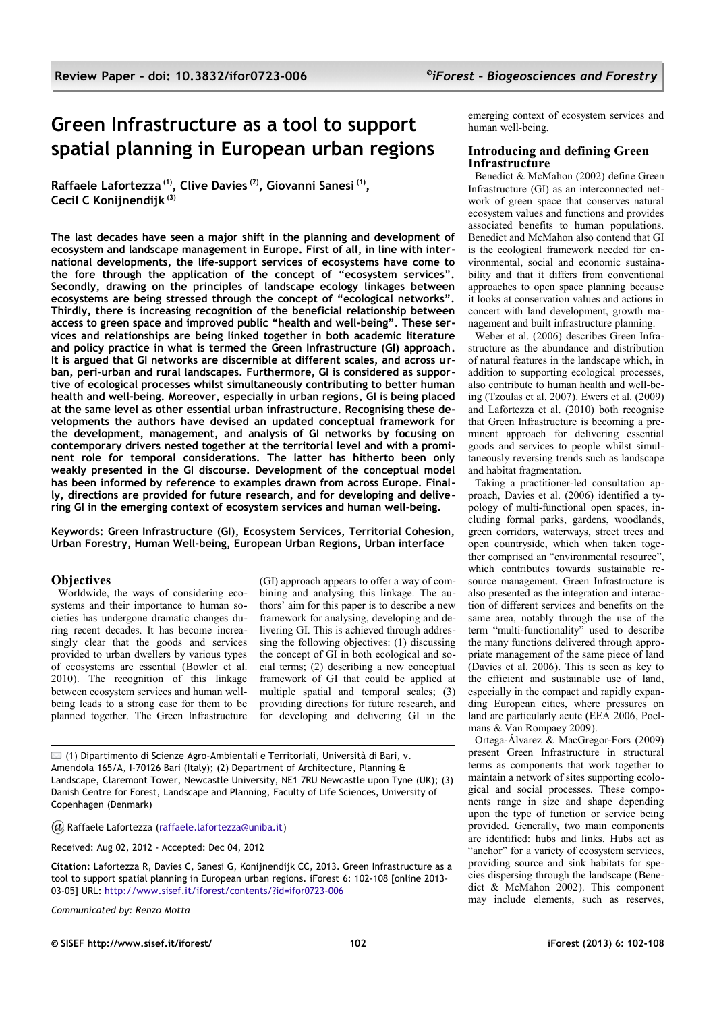# **Green Infrastructure as a tool to support spatial planning in European urban regions**

**Raffaele Lafortezza (1), Clive Davies (2), Giovanni Sanesi (1) , Cecil C Konijnendijk (3)**

**The last decades have seen a major shift in the planning and development of ecosystem and landscape management in Europe. First of all, in line with international developments, the life-support services of ecosystems have come to the fore through the application of the concept of "ecosystem services". Secondly, drawing on the principles of landscape ecology linkages between ecosystems are being stressed through the concept of "ecological networks". Thirdly, there is increasing recognition of the beneficial relationship between access to green space and improved public "health and well-being". These services and relationships are being linked together in both academic literature and policy practice in what is termed the Green Infrastructure (GI) approach. It is argued that GI networks are discernible at different scales, and across urban, peri-urban and rural landscapes. Furthermore, GI is considered as supportive of ecological processes whilst simultaneously contributing to better human health and well-being. Moreover, especially in urban regions, GI is being placed at the same level as other essential urban infrastructure. Recognising these developments the authors have devised an updated conceptual framework for the development, management, and analysis of GI networks by focusing on contemporary drivers nested together at the territorial level and with a prominent role for temporal considerations. The latter has hitherto been only weakly presented in the GI discourse. Development of the conceptual model has been informed by reference to examples drawn from across Europe. Finally, directions are provided for future research, and for developing and delivering GI in the emerging context of ecosystem services and human well-being.**

**Keywords: Green Infrastructure (GI), Ecosystem Services, Territorial Cohesion, Urban Forestry, Human Well-being, European Urban Regions, Urban interface**

# **Objectives**

Worldwide, the ways of considering ecosystems and their importance to human societies has undergone dramatic changes during recent decades. It has become increasingly clear that the goods and services provided to urban dwellers by various types of ecosystems are essential (Bowler et al. 2010). The recognition of this linkage between ecosystem services and human wellbeing leads to a strong case for them to be planned together. The Green Infrastructure (GI) approach appears to offer a way of combining and analysing this linkage. The authors' aim for this paper is to describe a new framework for analysing, developing and delivering GI. This is achieved through addressing the following objectives: (1) discussing the concept of GI in both ecological and social terms; (2) describing a new conceptual framework of GI that could be applied at multiple spatial and temporal scales; (3) providing directions for future research, and for developing and delivering GI in the

(1) Dipartimento di Scienze Agro-Ambientali e Territoriali, Università di Bari, v. Amendola 165/A, I-70126 Bari (Italy); (2) Department of Architecture, Planning & Landscape, Claremont Tower, Newcastle University, NE1 7RU Newcastle upon Tyne (UK); (3) Danish Centre for Forest, Landscape and Planning, Faculty of Life Sciences, University of Copenhagen (Denmark)

*@* Raffaele Lafortezza [\(raffaele.lafortezza@uniba.it\)](mailto:)

Received: Aug 02, 2012 - Accepted: Dec 04, 2012

**Citation**: Lafortezza R, Davies C, Sanesi G, Konijnendijk CC, 2013. Green Infrastructure as a tool to support spatial planning in European urban regions. iForest 6: 102-108 [online 2013- 03-05] URL:<http://www.sisef.it/iforest/contents/?id=ifor0723-006>

*Communicated by: Renzo Motta*

emerging context of ecosystem services and human well-being.

#### **Introducing and defining Green Infrastructure**

Benedict & McMahon (2002) define Green Infrastructure (GI) as an interconnected network of green space that conserves natural ecosystem values and functions and provides associated benefits to human populations. Benedict and McMahon also contend that GI is the ecological framework needed for environmental, social and economic sustainability and that it differs from conventional approaches to open space planning because it looks at conservation values and actions in concert with land development, growth management and built infrastructure planning.

Weber et al. (2006) describes Green Infrastructure as the abundance and distribution of natural features in the landscape which, in addition to supporting ecological processes, also contribute to human health and well-being (Tzoulas et al. 2007). Ewers et al. (2009) and Lafortezza et al. (2010) both recognise that Green Infrastructure is becoming a preminent approach for delivering essential goods and services to people whilst simultaneously reversing trends such as landscape and habitat fragmentation.

Taking a practitioner-led consultation approach, Davies et al. (2006) identified a typology of multi-functional open spaces, including formal parks, gardens, woodlands, green corridors, waterways, street trees and open countryside, which when taken together comprised an "environmental resource", which contributes towards sustainable resource management. Green Infrastructure is also presented as the integration and interaction of different services and benefits on the same area, notably through the use of the term "multi-functionality" used to describe the many functions delivered through appropriate management of the same piece of land (Davies et al. 2006). This is seen as key to the efficient and sustainable use of land, especially in the compact and rapidly expanding European cities, where pressures on land are particularly acute (EEA 2006, Poelmans & Van Rompaey 2009).

Ortega-Álvarez & MacGregor-Fors (2009) present Green Infrastructure in structural terms as components that work together to maintain a network of sites supporting ecological and social processes. These components range in size and shape depending upon the type of function or service being provided. Generally, two main components are identified: hubs and links. Hubs act as "anchor" for a variety of ecosystem services. providing source and sink habitats for species dispersing through the landscape (Benedict & McMahon 2002). This component may include elements, such as reserves,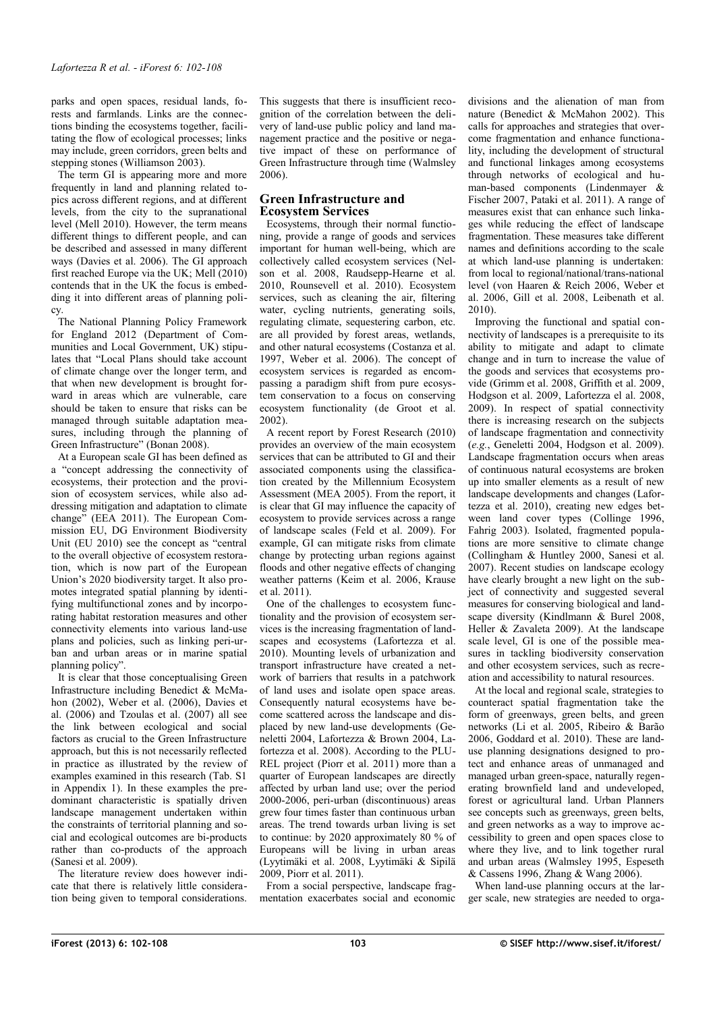parks and open spaces, residual lands, forests and farmlands. Links are the connections binding the ecosystems together, facilitating the flow of ecological processes; links may include, green corridors, green belts and stepping stones (Williamson 2003).

The term GI is appearing more and more frequently in land and planning related topics across different regions, and at different levels, from the city to the supranational level (Mell 2010). However, the term means different things to different people, and can be described and assessed in many different ways (Davies et al. 2006). The GI approach first reached Europe via the UK; Mell (2010) contends that in the UK the focus is embedding it into different areas of planning policy.

The National Planning Policy Framework for England 2012 (Department of Communities and Local Government, UK) stipulates that "Local Plans should take account of climate change over the longer term, and that when new development is brought forward in areas which are vulnerable, care should be taken to ensure that risks can be managed through suitable adaptation measures, including through the planning of Green Infrastructure" (Bonan 2008).

At a European scale GI has been defined as a "concept addressing the connectivity of ecosystems, their protection and the provision of ecosystem services, while also addressing mitigation and adaptation to climate change" (EEA 2011). The European Commission EU, DG Environment Biodiversity Unit (EU 2010) see the concept as "central to the overall objective of ecosystem restoration, which is now part of the European Union's 2020 biodiversity target. It also promotes integrated spatial planning by identifying multifunctional zones and by incorporating habitat restoration measures and other connectivity elements into various land-use plans and policies, such as linking peri-urban and urban areas or in marine spatial planning policy".

It is clear that those conceptualising Green Infrastructure including Benedict & McMahon (2002), Weber et al. (2006), Davies et al. (2006) and Tzoulas et al. (2007) all see the link between ecological and social factors as crucial to the Green Infrastructure approach, but this is not necessarily reflected in practice as illustrated by the review of examples examined in this research (Tab. S1 in [Appendix 1\)](#page-6-0). In these examples the predominant characteristic is spatially driven landscape management undertaken within the constraints of territorial planning and social and ecological outcomes are bi-products rather than co-products of the approach (Sanesi et al. 2009).

The literature review does however indicate that there is relatively little consideration being given to temporal considerations. This suggests that there is insufficient recognition of the correlation between the delivery of land-use public policy and land management practice and the positive or negative impact of these on performance of Green Infrastructure through time (Walmsley 2006).

### **Green Infrastructure and Ecosystem Services**

Ecosystems, through their normal functioning, provide a range of goods and services important for human well-being, which are collectively called ecosystem services (Nelson et al. 2008, Raudsepp-Hearne et al. 2010, Rounsevell et al. 2010). Ecosystem services, such as cleaning the air, filtering water, cycling nutrients, generating soils, regulating climate, sequestering carbon, etc. are all provided by forest areas, wetlands, and other natural ecosystems (Costanza et al. 1997, Weber et al. 2006). The concept of ecosystem services is regarded as encompassing a paradigm shift from pure ecosystem conservation to a focus on conserving ecosystem functionality (de Groot et al. 2002).

A recent report by Forest Research (2010) provides an overview of the main ecosystem services that can be attributed to GI and their associated components using the classification created by the Millennium Ecosystem Assessment (MEA 2005). From the report, it is clear that GI may influence the capacity of ecosystem to provide services across a range of landscape scales (Feld et al. 2009). For example, GI can mitigate risks from climate change by protecting urban regions against floods and other negative effects of changing weather patterns (Keim et al. 2006, Krause et al.  $2011$ ).

One of the challenges to ecosystem functionality and the provision of ecosystem services is the increasing fragmentation of landscapes and ecosystems (Lafortezza et al. 2010). Mounting levels of urbanization and transport infrastructure have created a network of barriers that results in a patchwork of land uses and isolate open space areas. Consequently natural ecosystems have become scattered across the landscape and displaced by new land-use developments (Geneletti 2004, Lafortezza & Brown 2004, Lafortezza et al. 2008). According to the PLU-REL project (Piorr et al. 2011) more than a quarter of European landscapes are directly affected by urban land use; over the period 2000-2006, peri-urban (discontinuous) areas grew four times faster than continuous urban areas. The trend towards urban living is set to continue: by 2020 approximately 80 % of Europeans will be living in urban areas (Lyytimäki et al. 2008, Lyytimäki & Sipilä 2009, Piorr et al. 2011).

From a social perspective, landscape fragmentation exacerbates social and economic divisions and the alienation of man from nature (Benedict & McMahon 2002). This calls for approaches and strategies that overcome fragmentation and enhance functionality, including the development of structural and functional linkages among ecosystems through networks of ecological and human-based components (Lindenmayer & Fischer 2007, Pataki et al. 2011). A range of measures exist that can enhance such linkages while reducing the effect of landscape fragmentation. These measures take different names and definitions according to the scale at which land-use planning is undertaken: from local to regional/national/trans-national level (von Haaren & Reich 2006, Weber et al. 2006, Gill et al. 2008, Leibenath et al. 2010).

Improving the functional and spatial connectivity of landscapes is a prerequisite to its ability to mitigate and adapt to climate change and in turn to increase the value of the goods and services that ecosystems provide (Grimm et al. 2008, Griffith et al. 2009, Hodgson et al. 2009, Lafortezza el al. 2008, 2009). In respect of spatial connectivity there is increasing research on the subjects of landscape fragmentation and connectivity (*e.g.*, Geneletti 2004, Hodgson et al. 2009). Landscape fragmentation occurs when areas of continuous natural ecosystems are broken up into smaller elements as a result of new landscape developments and changes (Lafortezza et al. 2010), creating new edges between land cover types (Collinge 1996, Fahrig 2003). Isolated, fragmented populations are more sensitive to climate change (Collingham & Huntley 2000, Sanesi et al. 2007). Recent studies on landscape ecology have clearly brought a new light on the subject of connectivity and suggested several measures for conserving biological and landscape diversity (Kindlmann & Burel 2008, Heller & Zavaleta 2009). At the landscape scale level, GI is one of the possible measures in tackling biodiversity conservation and other ecosystem services, such as recreation and accessibility to natural resources.

At the local and regional scale, strategies to counteract spatial fragmentation take the form of greenways, green belts, and green networks (Li et al. 2005, Ribeiro & Barão 2006, Goddard et al. 2010). These are landuse planning designations designed to protect and enhance areas of unmanaged and managed urban green-space, naturally regenerating brownfield land and undeveloped, forest or agricultural land. Urban Planners see concepts such as greenways, green belts, and green networks as a way to improve accessibility to green and open spaces close to where they live, and to link together rural and urban areas (Walmsley 1995, Espeseth & Cassens 1996, Zhang & Wang 2006).

When land-use planning occurs at the larger scale, new strategies are needed to orga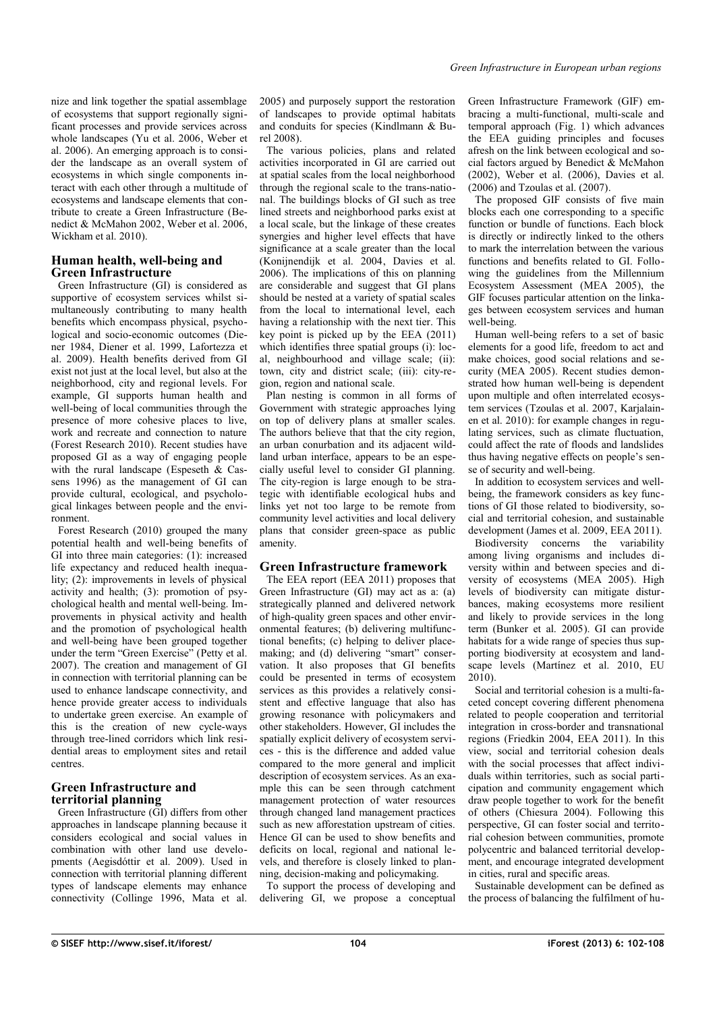nize and link together the spatial assemblage of ecosystems that support regionally significant processes and provide services across whole landscapes (Yu et al. 2006, Weber et al. 2006). An emerging approach is to consider the landscape as an overall system of ecosystems in which single components interact with each other through a multitude of ecosystems and landscape elements that contribute to create a Green Infrastructure (Benedict & McMahon 2002, Weber et al. 2006, Wickham et al. 2010).

### **Human health, well-being and Green Infrastructure**

Green Infrastructure (GI) is considered as supportive of ecosystem services whilst simultaneously contributing to many health benefits which encompass physical, psychological and socio-economic outcomes (Diener 1984, Diener et al. 1999, Lafortezza et al. 2009). Health benefits derived from GI exist not just at the local level, but also at the neighborhood, city and regional levels. For example, GI supports human health and well-being of local communities through the presence of more cohesive places to live, work and recreate and connection to nature (Forest Research 2010). Recent studies have proposed GI as a way of engaging people with the rural landscape (Espeseth & Cassens 1996) as the management of GI can provide cultural, ecological, and psychological linkages between people and the environment.

Forest Research (2010) grouped the many potential health and well-being benefits of GI into three main categories: (1): increased life expectancy and reduced health inequality; (2): improvements in levels of physical activity and health; (3): promotion of psychological health and mental well-being. Improvements in physical activity and health and the promotion of psychological health and well-being have been grouped together under the term "Green Exercise" (Petty et al. 2007). The creation and management of GI in connection with territorial planning can be used to enhance landscape connectivity, and hence provide greater access to individuals to undertake green exercise. An example of this is the creation of new cycle-ways through tree-lined corridors which link residential areas to employment sites and retail centres.

### **Green Infrastructure and territorial planning**

Green Infrastructure (GI) differs from other approaches in landscape planning because it considers ecological and social values in combination with other land use developments (Aegisdóttir et al. 2009). Used in connection with territorial planning different types of landscape elements may enhance connectivity (Collinge 1996, Mata et al. 2005) and purposely support the restoration of landscapes to provide optimal habitats and conduits for species (Kindlmann & Burel 2008).

The various policies, plans and related activities incorporated in GI are carried out at spatial scales from the local neighborhood through the regional scale to the trans-national. The buildings blocks of GI such as tree lined streets and neighborhood parks exist at a local scale, but the linkage of these creates synergies and higher level effects that have significance at a scale greater than the local (Konijnendijk et al. 2004, Davies et al. 2006). The implications of this on planning are considerable and suggest that GI plans should be nested at a variety of spatial scales from the local to international level, each having a relationship with the next tier. This key point is picked up by the EEA (2011) which identifies three spatial groups (i): local, neighbourhood and village scale; (ii): town, city and district scale; (iii): city-region, region and national scale.

Plan nesting is common in all forms of Government with strategic approaches lying on top of delivery plans at smaller scales. The authors believe that that the city region, an urban conurbation and its adjacent wildland urban interface, appears to be an especially useful level to consider GI planning. The city-region is large enough to be strategic with identifiable ecological hubs and links yet not too large to be remote from community level activities and local delivery plans that consider green-space as public amenity.

# **Green Infrastructure framework**

The EEA report (EEA 2011) proposes that Green Infrastructure (GI) may act as a: (a) strategically planned and delivered network of high-quality green spaces and other environmental features; (b) delivering multifunctional benefits; (c) helping to deliver placemaking; and (d) delivering "smart" conservation. It also proposes that GI benefits could be presented in terms of ecosystem services as this provides a relatively consistent and effective language that also has growing resonance with policymakers and other stakeholders. However, GI includes the spatially explicit delivery of ecosystem services - this is the difference and added value compared to the more general and implicit description of ecosystem services. As an example this can be seen through catchment management protection of water resources through changed land management practices such as new afforestation upstream of cities. Hence GI can be used to show benefits and deficits on local, regional and national levels, and therefore is closely linked to planning, decision-making and policymaking.

To support the process of developing and delivering GI, we propose a conceptual Green Infrastructure Framework (GIF) embracing a multi-functional, multi-scale and temporal approach [\(Fig. 1\)](#page-3-0) which advances the EEA guiding principles and focuses afresh on the link between ecological and social factors argued by Benedict & McMahon (2002), Weber et al. (2006), Davies et al. (2006) and Tzoulas et al. (2007).

The proposed GIF consists of five main blocks each one corresponding to a specific function or bundle of functions. Each block is directly or indirectly linked to the others to mark the interrelation between the various functions and benefits related to GI. Following the guidelines from the Millennium Ecosystem Assessment (MEA 2005), the GIF focuses particular attention on the linkages between ecosystem services and human well-being.

Human well-being refers to a set of basic elements for a good life, freedom to act and make choices, good social relations and security (MEA 2005). Recent studies demonstrated how human well-being is dependent upon multiple and often interrelated ecosystem services (Tzoulas et al. 2007, Karjalainen et al. 2010): for example changes in regulating services, such as climate fluctuation, could affect the rate of floods and landslides thus having negative effects on people's sense of security and well-being.

In addition to ecosystem services and wellbeing, the framework considers as key functions of GI those related to biodiversity, social and territorial cohesion, and sustainable development (James et al. 2009, EEA 2011).

Biodiversity concerns the variability among living organisms and includes diversity within and between species and diversity of ecosystems (MEA 2005). High levels of biodiversity can mitigate disturbances, making ecosystems more resilient and likely to provide services in the long term (Bunker et al. 2005). GI can provide habitats for a wide range of species thus supporting biodiversity at ecosystem and landscape levels (Martínez et al. 2010, EU  $2010$ ).

Social and territorial cohesion is a multi-faceted concept covering different phenomena related to people cooperation and territorial integration in cross-border and transnational regions (Friedkin 2004, EEA 2011). In this view, social and territorial cohesion deals with the social processes that affect individuals within territories, such as social participation and community engagement which draw people together to work for the benefit of others (Chiesura 2004). Following this perspective, GI can foster social and territorial cohesion between communities, promote polycentric and balanced territorial development, and encourage integrated development in cities, rural and specific areas.

Sustainable development can be defined as the process of balancing the fulfilment of hu-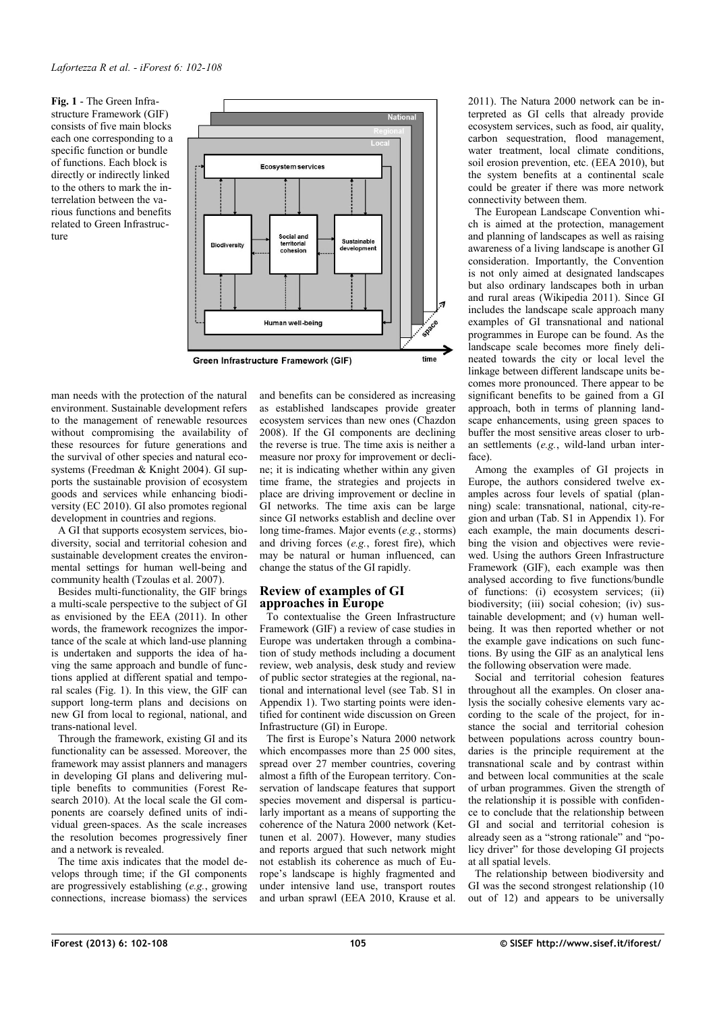<span id="page-3-0"></span>**Fig. 1** - The Green Infrastructure Framework (GIF) consists of five main blocks each one corresponding to a specific function or bundle of functions. Each block is directly or indirectly linked to the others to mark the interrelation between the various functions and benefits related to Green Infrastructure



man needs with the protection of the natural environment. Sustainable development refers to the management of renewable resources without compromising the availability of these resources for future generations and the survival of other species and natural ecosystems (Freedman & Knight 2004). GI supports the sustainable provision of ecosystem goods and services while enhancing biodiversity (EC 2010). GI also promotes regional development in countries and regions.

A GI that supports ecosystem services, biodiversity, social and territorial cohesion and sustainable development creates the environmental settings for human well-being and community health (Tzoulas et al. 2007).

Besides multi-functionality, the GIF brings a multi-scale perspective to the subject of GI as envisioned by the EEA (2011). In other words, the framework recognizes the importance of the scale at which land-use planning is undertaken and supports the idea of having the same approach and bundle of functions applied at different spatial and temporal scales [\(Fig. 1\)](#page-3-0). In this view, the GIF can support long-term plans and decisions on new GI from local to regional, national, and trans-national level.

Through the framework, existing GI and its functionality can be assessed. Moreover, the framework may assist planners and managers in developing GI plans and delivering multiple benefits to communities (Forest Research 2010). At the local scale the GI components are coarsely defined units of individual green-spaces. As the scale increases the resolution becomes progressively finer and a network is revealed.

The time axis indicates that the model develops through time; if the GI components are progressively establishing (*e.g.*, growing connections, increase biomass) the services and benefits can be considered as increasing as established landscapes provide greater ecosystem services than new ones (Chazdon 2008). If the GI components are declining the reverse is true. The time axis is neither a measure nor proxy for improvement or decline; it is indicating whether within any given time frame, the strategies and projects in place are driving improvement or decline in GI networks. The time axis can be large since GI networks establish and decline over long time-frames. Major events (*e.g.*, storms) and driving forces (*e.g.*, forest fire), which may be natural or human influenced, can change the status of the GI rapidly.

### **Review of examples of GI approaches in Europe**

To contextualise the Green Infrastructure Framework (GIF) a review of case studies in Europe was undertaken through a combination of study methods including a document review, web analysis, desk study and review of public sector strategies at the regional, national and international level (see Tab. S1 in [Appendix 1\)](#page-6-0). Two starting points were identified for continent wide discussion on Green Infrastructure (GI) in Europe.

The first is Europe's Natura 2000 network which encompasses more than 25 000 sites, spread over 27 member countries, covering almost a fifth of the European territory. Conservation of landscape features that support species movement and dispersal is particularly important as a means of supporting the coherence of the Natura 2000 network (Kettunen et al. 2007). However, many studies and reports argued that such network might not establish its coherence as much of Europe's landscape is highly fragmented and under intensive land use, transport routes and urban sprawl (EEA 2010, Krause et al. 2011). The Natura 2000 network can be interpreted as GI cells that already provide ecosystem services, such as food, air quality, carbon sequestration, flood management, water treatment, local climate conditions, soil erosion prevention, etc. (EEA 2010), but the system benefits at a continental scale could be greater if there was more network connectivity between them.

The European Landscape Convention which is aimed at the protection, management and planning of landscapes as well as raising awareness of a living landscape is another GI consideration. Importantly, the Convention is not only aimed at designated landscapes but also ordinary landscapes both in urban and rural areas (Wikipedia 2011). Since GI includes the landscape scale approach many examples of GI transnational and national programmes in Europe can be found. As the landscape scale becomes more finely delineated towards the city or local level the linkage between different landscape units becomes more pronounced. There appear to be significant benefits to be gained from a GI approach, both in terms of planning landscape enhancements, using green spaces to buffer the most sensitive areas closer to urban settlements (*e.g.*, wild-land urban interface).

Among the examples of GI projects in Europe, the authors considered twelve examples across four levels of spatial (planning) scale: transnational, national, city-region and urban (Tab. S1 in [Appendix 1\)](#page-6-0). For each example, the main documents describing the vision and objectives were reviewed. Using the authors Green Infrastructure Framework (GIF), each example was then analysed according to five functions/bundle of functions: (i) ecosystem services; (ii) biodiversity; (iii) social cohesion; (iv) sustainable development; and (v) human wellbeing. It was then reported whether or not the example gave indications on such functions. By using the GIF as an analytical lens the following observation were made.

Social and territorial cohesion features throughout all the examples. On closer analysis the socially cohesive elements vary according to the scale of the project, for instance the social and territorial cohesion between populations across country boundaries is the principle requirement at the transnational scale and by contrast within and between local communities at the scale of urban programmes. Given the strength of the relationship it is possible with confidence to conclude that the relationship between GI and social and territorial cohesion is already seen as a "strong rationale" and "policy driver" for those developing GI projects at all spatial levels.

The relationship between biodiversity and GI was the second strongest relationship (10 out of 12) and appears to be universally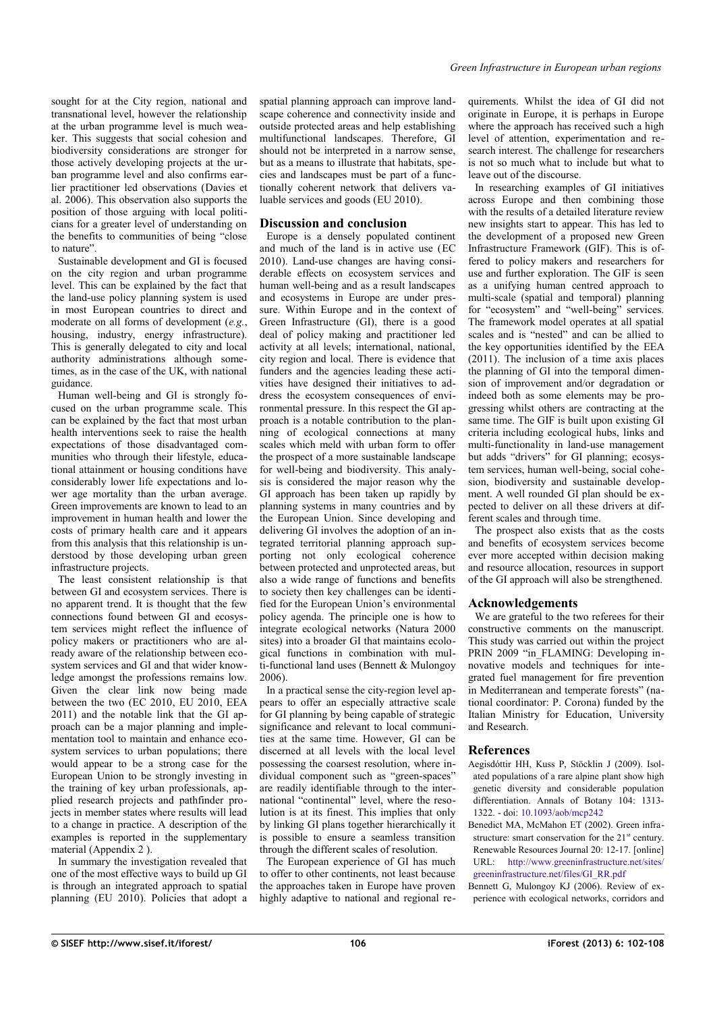sought for at the City region, national and transnational level, however the relationship at the urban programme level is much weaker. This suggests that social cohesion and biodiversity considerations are stronger for those actively developing projects at the urban programme level and also confirms earlier practitioner led observations (Davies et al. 2006). This observation also supports the position of those arguing with local politicians for a greater level of understanding on the benefits to communities of being "close to nature".

Sustainable development and GI is focused on the city region and urban programme level. This can be explained by the fact that the land-use policy planning system is used in most European countries to direct and moderate on all forms of development (*e.g.*, housing, industry, energy infrastructure). This is generally delegated to city and local authority administrations although sometimes, as in the case of the UK, with national guidance.

Human well-being and GI is strongly focused on the urban programme scale. This can be explained by the fact that most urban health interventions seek to raise the health expectations of those disadvantaged communities who through their lifestyle, educational attainment or housing conditions have considerably lower life expectations and lower age mortality than the urban average. Green improvements are known to lead to an improvement in human health and lower the costs of primary health care and it appears from this analysis that this relationship is understood by those developing urban green infrastructure projects.

The least consistent relationship is that between GI and ecosystem services. There is no apparent trend. It is thought that the few connections found between GI and ecosystem services might reflect the influence of policy makers or practitioners who are already aware of the relationship between ecosystem services and GI and that wider knowledge amongst the professions remains low. Given the clear link now being made between the two (EC 2010, EU 2010, EEA 2011) and the notable link that the GI approach can be a major planning and implementation tool to maintain and enhance ecosystem services to urban populations; there would appear to be a strong case for the European Union to be strongly investing in the training of key urban professionals, applied research projects and pathfinder projects in member states where results will lead to a change in practice. A description of the examples is reported in the supplementary material [\(Appendix 2 \)](#page-6-1).

In summary the investigation revealed that one of the most effective ways to build up GI is through an integrated approach to spatial planning (EU 2010). Policies that adopt a spatial planning approach can improve landscape coherence and connectivity inside and outside protected areas and help establishing multifunctional landscapes. Therefore, GI should not be interpreted in a narrow sense, but as a means to illustrate that habitats, species and landscapes must be part of a functionally coherent network that delivers valuable services and goods (EU 2010).

# **Discussion and conclusion**

Europe is a densely populated continent and much of the land is in active use (EC 2010). Land-use changes are having considerable effects on ecosystem services and human well-being and as a result landscapes and ecosystems in Europe are under pressure. Within Europe and in the context of Green Infrastructure (GI), there is a good deal of policy making and practitioner led activity at all levels; international, national, city region and local. There is evidence that funders and the agencies leading these activities have designed their initiatives to address the ecosystem consequences of environmental pressure. In this respect the GI approach is a notable contribution to the planning of ecological connections at many scales which meld with urban form to offer the prospect of a more sustainable landscape for well-being and biodiversity. This analysis is considered the major reason why the GI approach has been taken up rapidly by planning systems in many countries and by the European Union. Since developing and delivering GI involves the adoption of an integrated territorial planning approach supporting not only ecological coherence between protected and unprotected areas, but also a wide range of functions and benefits to society then key challenges can be identified for the European Union's environmental policy agenda. The principle one is how to integrate ecological networks (Natura 2000 sites) into a broader GI that maintains ecological functions in combination with multi-functional land uses (Bennett & Mulongoy 2006).

In a practical sense the city-region level appears to offer an especially attractive scale for GI planning by being capable of strategic significance and relevant to local communities at the same time. However, GI can be discerned at all levels with the local level possessing the coarsest resolution, where individual component such as "green-spaces" are readily identifiable through to the international "continental" level, where the resolution is at its finest. This implies that only by linking GI plans together hierarchically it is possible to ensure a seamless transition through the different scales of resolution.

The European experience of GI has much to offer to other continents, not least because the approaches taken in Europe have proven highly adaptive to national and regional requirements. Whilst the idea of GI did not originate in Europe, it is perhaps in Europe where the approach has received such a high level of attention, experimentation and research interest. The challenge for researchers is not so much what to include but what to leave out of the discourse.

In researching examples of GI initiatives across Europe and then combining those with the results of a detailed literature review new insights start to appear. This has led to the development of a proposed new Green Infrastructure Framework (GIF). This is offered to policy makers and researchers for use and further exploration. The GIF is seen as a unifying human centred approach to multi-scale (spatial and temporal) planning for "ecosystem" and "well-being" services. The framework model operates at all spatial scales and is "nested" and can be allied to the key opportunities identified by the EEA (2011). The inclusion of a time axis places the planning of GI into the temporal dimension of improvement and/or degradation or indeed both as some elements may be progressing whilst others are contracting at the same time. The GIF is built upon existing GI criteria including ecological hubs, links and multi-functionality in land-use management but adds "drivers" for GI planning; ecosystem services, human well-being, social cohesion, biodiversity and sustainable development. A well rounded GI plan should be expected to deliver on all these drivers at different scales and through time.

The prospect also exists that as the costs and benefits of ecosystem services become ever more accepted within decision making and resource allocation, resources in support of the GI approach will also be strengthened.

#### **Acknowledgements**

We are grateful to the two referees for their constructive comments on the manuscript. This study was carried out within the project PRIN 2009 "in FLAMING: Developing innovative models and techniques for integrated fuel management for fire prevention in Mediterranean and temperate forests" (national coordinator: P. Corona) funded by the Italian Ministry for Education, University and Research.

#### **References**

- Aegisdóttir HH, Kuss P, Stöcklin J (2009). Isolated populations of a rare alpine plant show high genetic diversity and considerable population differentiation. Annals of Botany 104: 1313- 1322. - doi: [10.1093/aob/mcp242](http://dx.doi.org/10.1093/aob/mcp242)
- Benedict MA, McMahon ET (2002). Green infrastructure: smart conservation for the 21<sup>st</sup> century. Renewable Resources Journal 20: 12-17. [online] URL: [http://www.greeninfrastructure.net/sites/](http://www.greeninfrastructure.net/sites/greeninfrastructure.net/files/GI_RR.pdf) [greeninfrastructure.net/files/GI\\_RR.pdf](http://www.greeninfrastructure.net/sites/greeninfrastructure.net/files/GI_RR.pdf)

Bennett G, Mulongoy KJ (2006). Review of experience with ecological networks, corridors and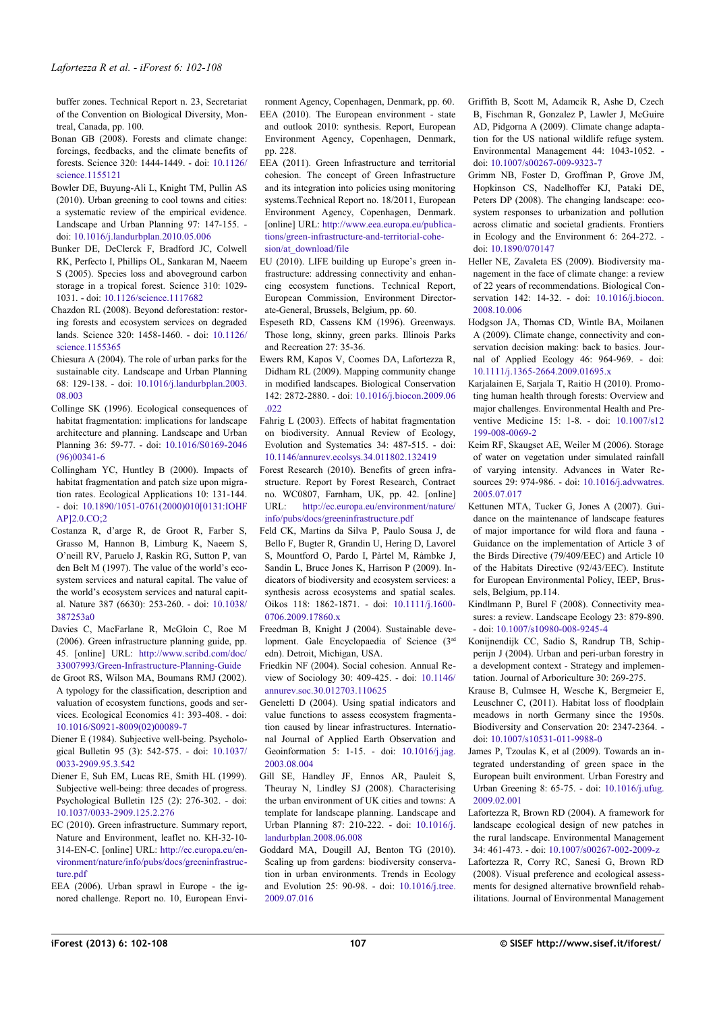buffer zones. Technical Report n. 23, Secretariat of the Convention on Biological Diversity, Montreal, Canada, pp. 100.

- Bonan GB (2008). Forests and climate change: forcings, feedbacks, and the climate benefits of forests. Science 320: 1444-1449. - doi: [10.1126/](http://dx.doi.org/10.1126/science.1155121) [science.1155121](http://dx.doi.org/10.1126/science.1155121)
- Bowler DE, Buyung-Ali L, Knight TM, Pullin AS (2010). Urban greening to cool towns and cities: a systematic review of the empirical evidence. Landscape and Urban Planning 97: 147-155. doi: [10.1016/j.landurbplan.2010.05.006](http://dx.doi.org/10.1016/j.landurbplan.2010.05.006)
- Bunker DE, DeClerck F, Bradford JC, Colwell RK, Perfecto I, Phillips OL, Sankaran M, Naeem S (2005). Species loss and aboveground carbon storage in a tropical forest. Science 310: 1029- 1031. - doi: [10.1126/science.1117682](http://dx.doi.org/10.1126/science.1117682)
- Chazdon RL (2008). Beyond deforestation: restoring forests and ecosystem services on degraded lands. Science 320: 1458-1460. - doi: [10.1126/](http://dx.doi.org/10.1126/science.1155365) [science.1155365](http://dx.doi.org/10.1126/science.1155365)
- Chiesura A (2004). The role of urban parks for the sustainable city. Landscape and Urban Planning 68: 129-138. - doi: [10.1016/j.landurbplan.2003.](http://dx.doi.org/10.1016/j.landurbplan.2003.08.003) [08.003](http://dx.doi.org/10.1016/j.landurbplan.2003.08.003)
- Collinge SK (1996). Ecological consequences of habitat fragmentation: implications for landscape architecture and planning. Landscape and Urban Planning 36: 59-77. - doi: [10.1016/S0169-2046](http://dx.doi.org/10.1016/S0169-2046(96)00341-6) [\(96\)00341-6](http://dx.doi.org/10.1016/S0169-2046(96)00341-6)
- Collingham YC, Huntley B (2000). Impacts of habitat fragmentation and patch size upon migration rates. Ecological Applications 10: 131-144. - doi: [10.1890/1051-0761\(2000\)010\[0131:IOHF](http://dx.doi.org/10.1890/1051-0761(2000)010%5B0131:IOHFAP%5D2.0.CO;2) [AP\]2.0.CO;2](http://dx.doi.org/10.1890/1051-0761(2000)010%5B0131:IOHFAP%5D2.0.CO;2)
- Costanza R, d'arge R, de Groot R, Farber S, Grasso M, Hannon B, Limburg K, Naeem S, O'neill RV, Paruelo J, Raskin RG, Sutton P, van den Belt M (1997). The value of the world's ecosystem services and natural capital. The value of the world's ecosystem services and natural capital. Nature 387 (6630): 253-260. - doi: [10.1038/](http://dx.doi.org/10.1038/387253a0) [387253a0](http://dx.doi.org/10.1038/387253a0)
- Davies C, MacFarlane R, McGloin C, Roe M (2006). Green infrastructure planning guide, pp. 45. [online] URL: [http://www.scribd.com/doc/](http://www.scribd.com/doc/33007993/Green-Infrastructure-Planning-Guide) [33007993/Green-Infrastructure-Planning-Guide](http://www.scribd.com/doc/33007993/Green-Infrastructure-Planning-Guide)
- de Groot RS, Wilson MA, Boumans RMJ (2002). A typology for the classification, description and valuation of ecosystem functions, goods and services. Ecological Economics 41: 393-408. - doi: [10.1016/S0921-8009\(02\)00089-7](http://dx.doi.org/10.1016/S0921-8009(02)00089-7)
- Diener E (1984). Subjective well-being. Psychological Bulletin 95 (3): 542-575. - doi: [10.1037/](http://dx.doi.org/10.1037/0033-2909.95.3.542) [0033-2909.95.3.542](http://dx.doi.org/10.1037/0033-2909.95.3.542)
- Diener E, Suh EM, Lucas RE, Smith HL (1999). Subjective well-being: three decades of progress. Psychological Bulletin 125 (2): 276-302. - doi: [10.1037/0033-2909.125.2.276](http://dx.doi.org/10.1037/0033-2909.125.2.276)
- EC (2010). Green infrastructure. Summary report, Nature and Environment, leaflet no. KH-32-10- 314-EN-C. [online] URL: [http://ec.europa.eu/en](http://ec.europa.eu/environment/nature/info/pubs/docs/greeninfrastructure.pdf)[vironment/nature/info/pubs/docs/greeninfrastruc](http://ec.europa.eu/environment/nature/info/pubs/docs/greeninfrastructure.pdf)[ture.pdf](http://ec.europa.eu/environment/nature/info/pubs/docs/greeninfrastructure.pdf)
- EEA (2006). Urban sprawl in Europe the ignored challenge. Report no. 10, European Envi-

ronment Agency, Copenhagen, Denmark, pp. 60. EEA (2010). The European environment - state and outlook 2010: synthesis. Report, European Environment Agency, Copenhagen, Denmark, pp. 228.

- EEA (2011). Green Infrastructure and territorial cohesion. The concept of Green Infrastructure and its integration into policies using monitoring systems.Technical Report no. 18/2011, European Environment Agency, Copenhagen, Denmark. [online] URL: [http://www.eea.europa.eu/publica](http://www.eea.europa.eu/publications/green-infrastructure-and-territorial-cohesion/at_download/file)[tions/green-infrastructure-and-territorial-cohe](http://www.eea.europa.eu/publications/green-infrastructure-and-territorial-cohesion/at_download/file)[sion/at\\_download/file](http://www.eea.europa.eu/publications/green-infrastructure-and-territorial-cohesion/at_download/file)
- EU (2010). LIFE building up Europe's green infrastructure: addressing connectivity and enhancing ecosystem functions. Technical Report, European Commission, Environment Directorate-General, Brussels, Belgium, pp. 60.
- Espeseth RD, Cassens KM (1996). Greenways. Those long, skinny, green parks. Illinois Parks and Recreation 27: 35-36.
- Ewers RM, Kapos V, Coomes DA, Lafortezza R, Didham RL (2009). Mapping community change in modified landscapes. Biological Conservation 142: 2872-2880. - doi: [10.1016/j.biocon.2009.06](http://dx.doi.org/10.1016/j.biocon.2009.06.022)  $022$
- Fahrig L (2003). Effects of habitat fragmentation on biodiversity. Annual Review of Ecology, Evolution and Systematics 34: 487-515. - doi: [10.1146/annurev.ecolsys.34.011802.132419](http://dx.doi.org/10.1146/annurev.ecolsys.34.011802.132419)
- Forest Research (2010). Benefits of green infrastructure. Report by Forest Research, Contract no. WC0807, Farnham, UK, pp. 42. [online] URL: [http://ec.europa.eu/environment/nature/](http://ec.europa.eu/environment/nature/info/pubs/docs/greeninfrastructure.pdf) [info/pubs/docs/greeninfrastructure.pdf](http://ec.europa.eu/environment/nature/info/pubs/docs/greeninfrastructure.pdf)
- Feld CK, Martins da Silva P, Paulo Sousa J, de Bello F, Bugter R, Grandin U, Hering D, Lavorel S, Mountford O, Pardo I, Pàrtel M, Ràmbke J, Sandin L, Bruce Jones K, Harrison P (2009). Indicators of biodiversity and ecosystem services: a synthesis across ecosystems and spatial scales. Oikos 118: 1862-1871. - doi: [10.1111/j.1600-](http://dx.doi.org/10.1111/j.1600-0706.2009.17860.x) [0706.2009.17860.x](http://dx.doi.org/10.1111/j.1600-0706.2009.17860.x)
- Freedman B, Knight J (2004). Sustainable development. Gale Encyclopaedia of Science (3rd edn). Detroit, Michigan, USA.
- Friedkin NF (2004). Social cohesion. Annual Review of Sociology 30: 409-425. - doi: [10.1146/](http://dx.doi.org/10.1146/annurev.soc.30.012703.110625) [annurev.soc.30.012703.110625](http://dx.doi.org/10.1146/annurev.soc.30.012703.110625)
- Geneletti D (2004). Using spatial indicators and value functions to assess ecosystem fragmentation caused by linear infrastructures. International Journal of Applied Earth Observation and Geoinformation 5: 1-15. - doi: [10.1016/j.jag.](http://dx.doi.org/10.1016/j.jag.2003.08.004) [2003.08.004](http://dx.doi.org/10.1016/j.jag.2003.08.004)
- Gill SE, Handley JF, Ennos AR, Pauleit S, Theuray N, Lindley SJ (2008). Characterising the urban environment of UK cities and towns: A template for landscape planning. Landscape and Urban Planning 87: 210-222. - doi: [10.1016/j.](http://dx.doi.org/10.1016/j.landurbplan.2008.06.008) [landurbplan.2008.06.008](http://dx.doi.org/10.1016/j.landurbplan.2008.06.008)
- Goddard MA, Dougill AJ, Benton TG (2010). Scaling up from gardens: biodiversity conservation in urban environments. Trends in Ecology and Evolution 25: 90-98. - doi: [10.1016/j.tree.](http://dx.doi.org/10.1016/j.tree.2009.07.016) [2009.07.016](http://dx.doi.org/10.1016/j.tree.2009.07.016)
- Griffith B, Scott M, Adamcik R, Ashe D, Czech B, Fischman R, Gonzalez P, Lawler J, McGuire AD, Pidgorna A (2009). Climate change adaptation for the US national wildlife refuge system. Environmental Management 44: 1043-1052. doi: [10.1007/s00267-009-9323-7](http://dx.doi.org/10.1007/s00267-009-9323-7)
- Grimm NB, Foster D, Groffman P, Grove JM, Hopkinson CS, Nadelhoffer KJ, Pataki DE, Peters DP (2008). The changing landscape: ecosystem responses to urbanization and pollution across climatic and societal gradients. Frontiers in Ecology and the Environment 6: 264-272. doi: [10.1890/070147](http://dx.doi.org/10.1890/070147)
- Heller NE, Zavaleta ES (2009). Biodiversity management in the face of climate change: a review of 22 years of recommendations. Biological Conservation 142: 14-32. - doi: [10.1016/j.biocon.](http://dx.doi.org/10.1016/j.biocon.2008.10.006) [2008.10.006](http://dx.doi.org/10.1016/j.biocon.2008.10.006)
- Hodgson JA, Thomas CD, Wintle BA, Moilanen A (2009). Climate change, connectivity and conservation decision making: back to basics. Journal of Applied Ecology 46: 964-969. - doi: [10.1111/j.1365-2664.2009.01695.x](http://dx.doi.org/10.1111/j.1365-2664.2009.01695.x)
- Karjalainen E, Sarjala T, Raitio H (2010). Promoting human health through forests: Overview and major challenges. Environmental Health and Preventive Medicine 15: 1-8. - doi: [10.1007/s12](http://dx.doi.org/10.1007/s12199-008-0069-2) [199-008-0069-2](http://dx.doi.org/10.1007/s12199-008-0069-2)
- Keim RF, Skaugset AE, Weiler M (2006). Storage of water on vegetation under simulated rainfall of varying intensity. Advances in Water Resources 29: 974-986. - doi: [10.1016/j.advwatres.](http://dx.doi.org/10.1016/j.advwatres.2005.07.017) [2005.07.017](http://dx.doi.org/10.1016/j.advwatres.2005.07.017)
- Kettunen MTA, Tucker G, Jones A (2007). Guidance on the maintenance of landscape features of major importance for wild flora and fauna - Guidance on the implementation of Article 3 of the Birds Directive (79/409/EEC) and Article 10 of the Habitats Directive (92/43/EEC). Institute for European Environmental Policy, IEEP, Brussels, Belgium, pp.114.
- Kindlmann P, Burel F (2008). Connectivity measures: a review. Landscape Ecology 23: 879-890. - doi: [10.1007/s10980-008-9245-4](http://dx.doi.org/10.1007/s10980-008-9245-4)
- Konijnendijk CC, Sadio S, Randrup TB, Schipperijn J (2004). Urban and peri-urban forestry in a development context - Strategy and implementation. Journal of Arboriculture 30: 269-275.
- Krause B, Culmsee H, Wesche K, Bergmeier E, Leuschner C, (2011). Habitat loss of floodplain meadows in north Germany since the 1950s. Biodiversity and Conservation 20: 2347-2364. doi: [10.1007/s10531-011-9988-0](http://dx.doi.org/10.1007/s10531-011-9988-0)
- James P, Tzoulas K, et al (2009). Towards an integrated understanding of green space in the European built environment. Urban Forestry and Urban Greening 8: 65-75. - doi: [10.1016/j.ufug.](http://dx.doi.org/10.1016/j.ufug.2009.02.001) [2009.02.001](http://dx.doi.org/10.1016/j.ufug.2009.02.001)
- Lafortezza R, Brown RD (2004). A framework for landscape ecological design of new patches in the rural landscape. Environmental Management 34: 461-473. - doi: [10.1007/s00267-002-2009-z](http://dx.doi.org/10.1007/s00267-002-2009-z) Lafortezza R, Corry RC, Sanesi G, Brown RD
- (2008). Visual preference and ecological assessments for designed alternative brownfield rehabilitations. Journal of Environmental Management